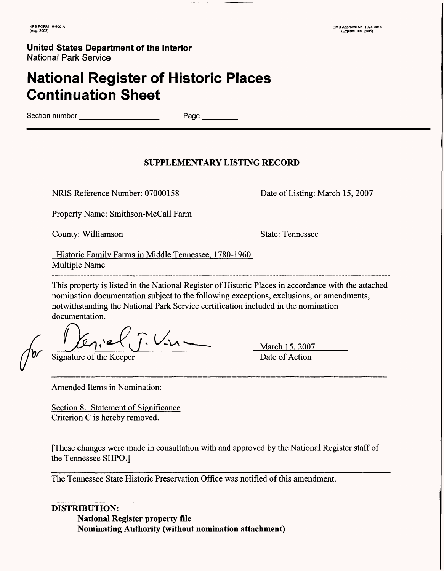**NPS FORM 10-900-A OMB Approval No. 1024-0018 (Aug. 2002) (Expires Jan. 2005)**

### **United States Department of the Interior** National Park Service

# **National Register of Historic Places Continuation Sheet**

Section number **Execute 2** Page

### **SUPPLEMENTARY LISTING RECORD**

NRIS Reference Number: 07000158 Date of Listing: March 15, 2007

Property Name: Smithson-McCall Farm

County: Williamson State: Tennessee

Historic Family Farms in Middle Tennessee. 1780-1960 Multiple Name

This property is listed in the National Register of Historic Places in accordance with the attached nomination documentation subject to the following exceptions, exclusions, or amendments, notwithstanding the National Park Service certification included in the nomination documentation.

 $\frac{1}{\sqrt{2}}$   $\frac{1}{\sqrt{2}}$   $\frac{1}{\sqrt{2}}$   $\frac{1}{\sqrt{2}}$   $\frac{1}{\sqrt{2}}$   $\frac{1}{\sqrt{2}}$   $\frac{1}{\sqrt{2}}$   $\frac{1}{\sqrt{2}}$   $\frac{1}{\sqrt{2}}$   $\frac{1}{\sqrt{2}}$   $\frac{1}{\sqrt{2}}$   $\frac{1}{\sqrt{2}}$   $\frac{1}{\sqrt{2}}$   $\frac{1}{\sqrt{2}}$   $\frac{1}{\sqrt{2}}$   $\frac{1}{\sqrt{2}}$   $\frac{1}{\sqrt{2}}$ 

March 15, 2007

Amended Items in Nomination:

Section 8. Statement of Significance Criterion C is hereby removed.

[These changes were made in consultation with and approved by the National Register staff of the Tennessee SHPO.]

The Tennessee State Historic Preservation Office was notified of this amendment.

**DISTRIBUTION: National Register property file Nominating Authority (without nomination attachment)**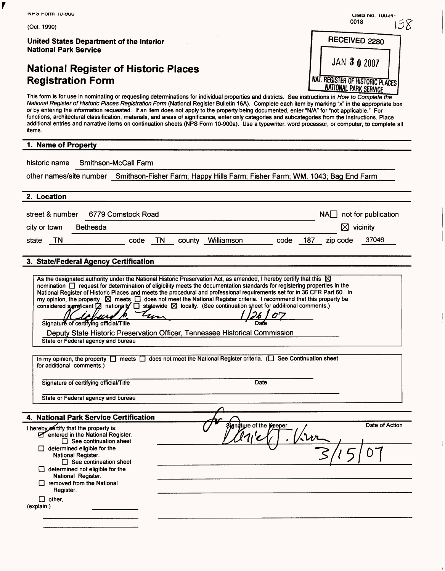| <b>NFS FORM TU-SUU</b>                                                                                                                                                                                                                                                                                                                                                                                                                                                                                                                                                                                                                                                                                                                                                    | UMB NO. IUUZ4-                                                   |
|---------------------------------------------------------------------------------------------------------------------------------------------------------------------------------------------------------------------------------------------------------------------------------------------------------------------------------------------------------------------------------------------------------------------------------------------------------------------------------------------------------------------------------------------------------------------------------------------------------------------------------------------------------------------------------------------------------------------------------------------------------------------------|------------------------------------------------------------------|
| (Oct. 1990)                                                                                                                                                                                                                                                                                                                                                                                                                                                                                                                                                                                                                                                                                                                                                               | 0018<br>98                                                       |
| United States Department of the Interior<br><b>National Park Service</b>                                                                                                                                                                                                                                                                                                                                                                                                                                                                                                                                                                                                                                                                                                  | RECEIVED 2280                                                    |
| <b>National Register of Historic Places</b>                                                                                                                                                                                                                                                                                                                                                                                                                                                                                                                                                                                                                                                                                                                               | JAN 30 2007                                                      |
| <b>Registration Form</b>                                                                                                                                                                                                                                                                                                                                                                                                                                                                                                                                                                                                                                                                                                                                                  | NAT. REGISTER OF HISTORIC PLACES<br><b>NATIONAL PARK SERVICE</b> |
| This form is for use in nominating or requesting determinations for individual properties and districts. See instructions in How to Complete the<br>National Register of Historic Places Registration Form (National Register Bulletin 16A). Complete each item by marking "x" in the appropriate box<br>or by entering the information requested. If an item does not apply to the property being documented, enter "N/A" for "not applicable." For<br>functions, architectural classification, materials, and areas of significance, enter only categories and subcategories from the instructions. Place<br>additional entries and narrative items on continuation sheets (NPS Form 10-900a). Use a typewriter, word processor, or computer, to complete all<br>items. |                                                                  |
| 1. Name of Property                                                                                                                                                                                                                                                                                                                                                                                                                                                                                                                                                                                                                                                                                                                                                       |                                                                  |
| <b>Smithson-McCall Farm</b><br>historic name                                                                                                                                                                                                                                                                                                                                                                                                                                                                                                                                                                                                                                                                                                                              |                                                                  |
| other names/site number Smithson-Fisher Farm; Happy Hills Farm; Fisher Farm; WM. 1043; Bag End Farm                                                                                                                                                                                                                                                                                                                                                                                                                                                                                                                                                                                                                                                                       |                                                                  |
| 2. Location                                                                                                                                                                                                                                                                                                                                                                                                                                                                                                                                                                                                                                                                                                                                                               |                                                                  |
|                                                                                                                                                                                                                                                                                                                                                                                                                                                                                                                                                                                                                                                                                                                                                                           |                                                                  |
| 6779 Comstock Road<br>street & number                                                                                                                                                                                                                                                                                                                                                                                                                                                                                                                                                                                                                                                                                                                                     | not for publication<br>NAI I                                     |
| <b>Bethesda</b><br>city or town                                                                                                                                                                                                                                                                                                                                                                                                                                                                                                                                                                                                                                                                                                                                           | ⋈<br>vicinity                                                    |
| code<br>county Williamson<br><b>TN</b><br>state<br>TN.                                                                                                                                                                                                                                                                                                                                                                                                                                                                                                                                                                                                                                                                                                                    | 37046<br>code<br>187<br>zip code                                 |
| National Register of Historic Places and meets the procedural and professional requirements set for in 36 CFR Part 60. In<br>my opinion, the property $\boxtimes$ meets $\Box$ does not meet the National Register criteria. I recommend that this property be<br>considered significant $\Box$ nationally $\Box$ statewide $\boxtimes$ locally. (See continuation sheet for additional comments.)<br>cum                                                                                                                                                                                                                                                                                                                                                                 |                                                                  |
| Signature of certifying official/Title<br>Deputy State Historic Preservation Officer, Tennessee Historical Commission<br>State or Federal agency and bureau                                                                                                                                                                                                                                                                                                                                                                                                                                                                                                                                                                                                               |                                                                  |
| In my opinion, the property $\Box$ meets $\Box$ does not meet the National Register criteria. ( $\Box$ See Continuation sheet<br>for additional comments.)                                                                                                                                                                                                                                                                                                                                                                                                                                                                                                                                                                                                                |                                                                  |
| Signature of certifying official/Title                                                                                                                                                                                                                                                                                                                                                                                                                                                                                                                                                                                                                                                                                                                                    | Date                                                             |
| State or Federal agency and bureau                                                                                                                                                                                                                                                                                                                                                                                                                                                                                                                                                                                                                                                                                                                                        |                                                                  |
| 4. National Park Service Certification                                                                                                                                                                                                                                                                                                                                                                                                                                                                                                                                                                                                                                                                                                                                    |                                                                  |
| I hereby eertify that the property is:<br>entered in the National Register.<br>$\Box$ See continuation sheet                                                                                                                                                                                                                                                                                                                                                                                                                                                                                                                                                                                                                                                              | Date of Action<br>Sianature of the Kreeper                       |
| $\Box$ determined eligible for the<br>National Register.<br>$\Box$ See continuation sheet<br>$\Box$ determined not eligible for the                                                                                                                                                                                                                                                                                                                                                                                                                                                                                                                                                                                                                                       |                                                                  |
| National Register.<br>removed from the National                                                                                                                                                                                                                                                                                                                                                                                                                                                                                                                                                                                                                                                                                                                           |                                                                  |
| Register.<br>$\Box$ other,<br>(explain:)                                                                                                                                                                                                                                                                                                                                                                                                                                                                                                                                                                                                                                                                                                                                  |                                                                  |
|                                                                                                                                                                                                                                                                                                                                                                                                                                                                                                                                                                                                                                                                                                                                                                           |                                                                  |
|                                                                                                                                                                                                                                                                                                                                                                                                                                                                                                                                                                                                                                                                                                                                                                           |                                                                  |
|                                                                                                                                                                                                                                                                                                                                                                                                                                                                                                                                                                                                                                                                                                                                                                           |                                                                  |

 $\blacktriangledown$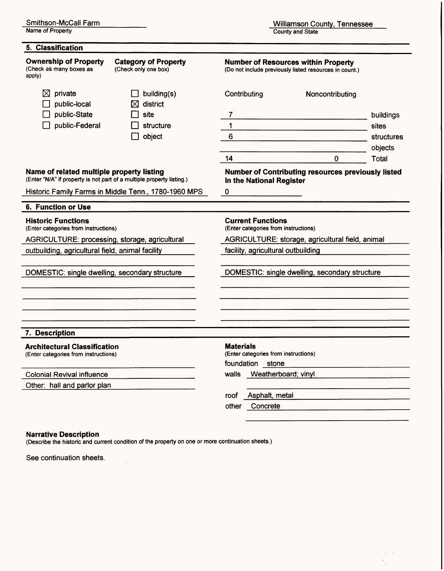Name of Property

Williamson County, Tennessee County and State

> $\sqrt{2}$  ,  $\frac{1}{2} \sum_{i=1}^{n} \frac{1}{i}$

| 5. Classification                                                                                                  |                                                      |                                                                                                      |                                                    |            |  |  |
|--------------------------------------------------------------------------------------------------------------------|------------------------------------------------------|------------------------------------------------------------------------------------------------------|----------------------------------------------------|------------|--|--|
| <b>Ownership of Property</b><br>(Check as many boxes as<br>apply)                                                  | <b>Category of Property</b><br>(Check only one box)  | <b>Number of Resources within Property</b><br>(Do not include previously listed resources in count.) |                                                    |            |  |  |
| private<br>⊠<br>public-local                                                                                       | building(s)<br>⊠<br>district                         | Contributing                                                                                         | Noncontributing                                    |            |  |  |
| public-State                                                                                                       | site                                                 | 7                                                                                                    |                                                    | buildings  |  |  |
| public-Federal                                                                                                     | structure                                            | $\mathbf 1$                                                                                          |                                                    | sites      |  |  |
|                                                                                                                    | object                                               | 6                                                                                                    |                                                    | structures |  |  |
|                                                                                                                    |                                                      |                                                                                                      |                                                    | objects    |  |  |
|                                                                                                                    |                                                      | 14                                                                                                   | 0                                                  | Total      |  |  |
| Name of related multiple property listing<br>(Enter "N/A" if property is not part of a multiple property listing.) |                                                      | In the National Register                                                                             | Number of Contributing resources previously listed |            |  |  |
|                                                                                                                    | Historic Family Farms in Middle Tenn., 1780-1960 MPS | 0                                                                                                    |                                                    |            |  |  |
| 6. Function or Use                                                                                                 |                                                      |                                                                                                      |                                                    |            |  |  |
| <b>Historic Functions</b><br>(Enter categories from instructions)                                                  |                                                      | <b>Current Functions</b><br>(Enter categories from instructions)                                     |                                                    |            |  |  |
| AGRICULTURE: processing, storage, agricultural                                                                     |                                                      | AGRICULTURE: storage, agricultural field, animal                                                     |                                                    |            |  |  |
| outbuilding, agricultural field, animal facility                                                                   |                                                      | facility, agricultural outbuilding                                                                   |                                                    |            |  |  |
|                                                                                                                    |                                                      |                                                                                                      |                                                    |            |  |  |
| DOMESTIC: single dwelling, secondary structure                                                                     |                                                      |                                                                                                      | DOMESTIC: single dwelling, secondary structure     |            |  |  |
|                                                                                                                    |                                                      |                                                                                                      |                                                    |            |  |  |
|                                                                                                                    |                                                      |                                                                                                      |                                                    |            |  |  |
| 7. Description                                                                                                     |                                                      |                                                                                                      |                                                    |            |  |  |
| <b>Architectural Classification</b><br>(Enter categories from instructions)                                        |                                                      | <b>Materials</b><br>(Enter categories from instructions)<br>foundation stone                         |                                                    |            |  |  |
| <b>Colonial Revival influence</b>                                                                                  |                                                      | Weatherboard; vinyl<br>walls                                                                         |                                                    |            |  |  |
| Other: hall and parlor plan                                                                                        |                                                      |                                                                                                      |                                                    |            |  |  |
|                                                                                                                    |                                                      | roof<br>Asphalt, metal                                                                               |                                                    |            |  |  |
|                                                                                                                    |                                                      | other<br>Concrete                                                                                    |                                                    |            |  |  |
|                                                                                                                    |                                                      |                                                                                                      |                                                    |            |  |  |

#### **Narrative Description**

(Describe the historic and current condition of the property on one or more continuation sheets.)

See continuation sheets.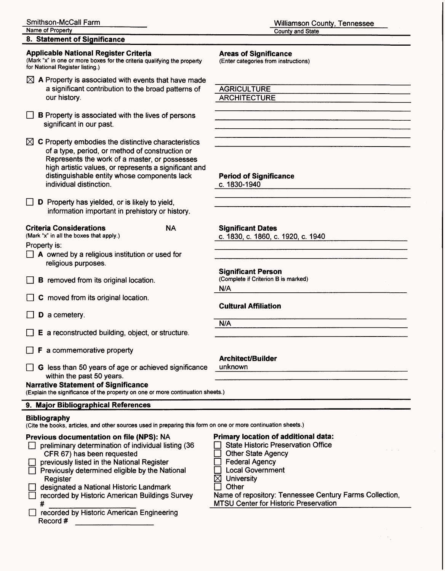#### **8. Statement of Significance**

#### **Applicable National Register Criteria**

(Mark "x" in one or more boxes for the criteria qualifying the property for National Register listing.)

- $\boxtimes$  A Property is associated with events that have made a significant contribution to the broad patterns of our history.
- $\Box$  B Property is associated with the lives of persons significant in our past.

| $\boxtimes$ C Property embodies the distinctive characteristics |
|-----------------------------------------------------------------|
| of a type, period, or method of construction or                 |
| Represents the work of a master, or possesses                   |
| high artistic values, or represents a significant and           |
| distinguishable entity whose components lack                    |
| individual distinction.                                         |
|                                                                 |

 $\Box$  **D** Property has yielded, or is likely to yield, information important in prehistory or history.

#### **Criteria Considerations NA**

(Mark "x" in all the boxes that apply.)

Property is:

- $\Box$  A owned by a religious institution or used for religious purposes.
- **B** removed from its original location.
- $\Box$  C moved from its original location.
- $\Box$  **D** a cemetery.
- $\Box$  E a reconstructed building, object, or structure.
- $\Box$  **F** a commemorative property
- G less than 50 years of age or achieved significance unk<br>within the past 50 years.

#### **Narrative Statement of Significance**

(Explain the significance of the property on one or more continuation sheets.)

### **9. Major Bibliographical References**

#### **Bibliography**

(Cite the books, articles, and other sources used in preparing this form on one or more continuation sheets.)

### **Previous documentation on file (NPS): NA**  $\Box$  preliminary determination of individual listing (36)

- CFR 67) has been requested
- previously listed in the National Register
- $\Box$  Previously determined eligible by the National **Register**
- $\Box$  designated a National Historic Landmark
- D recorded by Historic American Buildings Survey # \_\_\_\_\_\_\_\_\_\_\_\_\_
- D recorded by Historic American Engineering Record #

#### **Areas of Significance**

(Enter categories from instructions)

**AGRICULTURE** ARCHITECTURE

#### **Period of Significance**

c. 1830-1940

**Significant Dates** c. 1830, c. 1860, c. 1920. c. 1940

**Significant Person**

(Complete if Criterion B is marked)

N/A

#### **Cultural Affiliation**

N/A

#### **Architect/Builder**

unknown

### **Primary location of additional data:**

- **D** State Historic Preservation Office
	- **Other State Agency**
- **D** Federal Agency
- D Local Government
- $\boxtimes$  University
- $\Box$  Other

Name of repository: Tennessee Century Farms Collection, MTSU Center for Historic Preservation

Williamson County, Tennessee County and State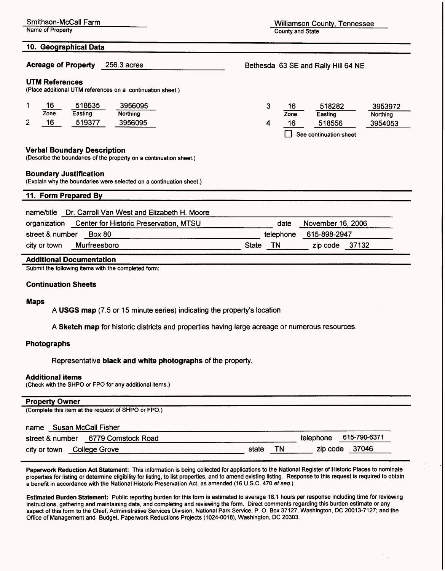10. Geographical Data

Acreage of Property 256.3 acres

#### UTM References

(Place additional UTM references on a continuation sheet.)

|        | 16   | 518635  | 3956095  | 16   | 518282                 | 3953972  |
|--------|------|---------|----------|------|------------------------|----------|
|        | Zone | Easting | Northing | Zone | Easting                | Northing |
| ◠<br>ے | 16   | 519377  | 3956095  | 16   | 518556                 | 3954053  |
|        |      |         |          |      | See continuation sheet |          |

#### **Verbal Boundary Description**

(Describe the boundaries of the property on a continuation sheet.)

#### **Boundary Justification**

(Explain why the boundaries were selected on a continuation sheet.)

#### **11. Form Prepared By**

| name/title Dr. Carroll Van West and Elizabeth H. Moore |
|--------------------------------------------------------|
| organization Center for Historic Presentation MTSH     |

|                 | organization Center for Historic Preservation, MTSU | date               | November 16, 2006 |  |
|-----------------|-----------------------------------------------------|--------------------|-------------------|--|
| street & number | Box 80                                              | telephone          | 615-898-2947      |  |
| city or town    | Murfreesboro                                        | <b>TN</b><br>State | zip code 37132    |  |

#### **Additional Documentation**

Submit the following items with the completed form:

#### **Continuation Sheets**

#### **Maps**

A USGS map (7.5 or 15 minute series) indicating the property's location

**A Sketch map** for historic districts and properties having large acreage or numerous resources.

#### **Photographs**

Representative **black and white photographs** of the property.

#### **Additional items**

(Check with the SHPO or FPO for any additional items.)

#### **Property Owner**

| (Complete this item at the request of SHPO or FPO.) |       |    |           |              |
|-----------------------------------------------------|-------|----|-----------|--------------|
| Susan McCall Fisher<br>name                         |       |    |           |              |
| street & number 6779 Comstock Road                  |       |    | telephone | 615-790-6371 |
| College Grove<br>city or town                       | state | ΓN | zip code  | 37046        |

**Paperwork Reduction Act Statement:** This information is being collected for applications to the National Register of Historic Places to nominate properties for listing or determine eligibility for listing, to list properties, and to amend existing listing. Response to this request is required to obtain a benefit in accordance with the National Historic Preservation Act, as amended (16 U.S.C. 470 et seq.)

**Estimated Burden Statement:** Public reporting burden for this form is estimated to average 18.1 hours per response including time for reviewing instructions, gathering and maintaining data, and completing and reviewing the form. Direct comments regarding this burden estimate or any aspect of this form to the Chief, Administrative Services Division, National Park Service, P. O. Box 37127, Washington, DC 20013-7127; and the Office of Management and Budget, Paperwork Reductions Projects (1024-0018), Washington, DC 20303.

Smithson-McCall Farm **Williamson County, Tennessee**<br>
Name of Property **Williamson County, Tennessee County and State** 

Bethesda 63SEand Rally Hill 64 NE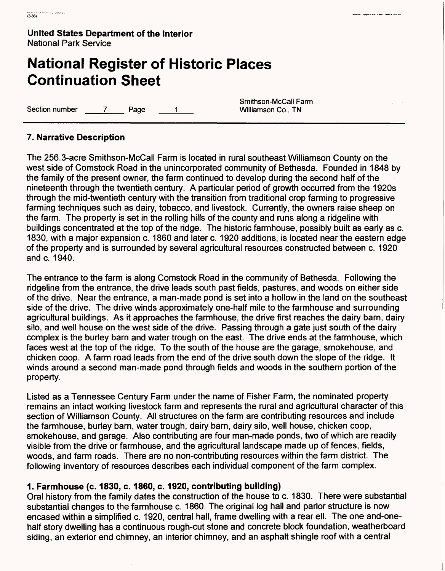# **National Register of Historic Places Continuation Sheet**

Section number 7 Page 1 Williamson Co., TN

Smithson-McCall Farm

in a supervision a successive a construction of the construction of the construction of the construction of th

## **7. Narrative Description**

The 256.3-acre Smithson-McCall Farm is located in rural southeast Williamson County on the west side of Comstock Road in the unincorporated community of Bethesda. Founded in 1848 by the family of the present owner, the farm continued to develop during the second half of the nineteenth through the twentieth century. A particular period of growth occurred from the 1920s through the mid-twentieth century with the transition from traditional crop farming to progressive farming techniques such as dairy, tobacco, and livestock. Currently, the owners raise sheep on the farm. The property is set in the rolling hills of the county and runs along a ridgeline with buildings concentrated at the top of the ridge. The historic farmhouse, possibly built as early as c. 1830, with a major expansion c. 1860 and later c. 1920 additions, is located near the eastern edge of the property and is surrounded by several agricultural resources constructed between c. 1920 and c. 1940.

The entrance to the farm is along Comstock Road in the community of Bethesda. Following the ridgeline from the entrance, the drive leads south past fields, pastures, and woods on either side of the drive. Near the entrance, a man-made pond is set into a hollow in the land on the southeast side of the drive. The drive winds approximately one-half mile to the farmhouse and surrounding agricultural buildings. As it approaches the farmhouse, the drive first reaches the dairy barn, dairy silo, and well house on the west side of the drive. Passing through a gate just south of the dairy complex is the burley barn and water trough on the east. The drive ends at the farmhouse, which faces west at the top of the ridge. To the south of the house are the garage, smokehouse, and chicken coop. A farm road leads from the end of the drive south down the slope of the ridge. It winds around a second man-made pond through fields and woods in the southern portion of the property.

Listed as a Tennessee Century Farm under the name of Fisher Farm, the nominated property remains an intact working livestock farm and represents the rural and agricultural character of this section of Williamson County. All structures on the farm are contributing resources and include the farmhouse, burley barn, water trough, dairy barn, dairy silo, well house, chicken coop, smokehouse, and garage. Also contributing are four man-made ponds, two of which are readily visible from the drive or farmhouse, and the agricultural landscape made up of fences, fields, woods, and farm roads. There are no non-contributing resources within the farm district. The following inventory of resources describes each individual component of the farm complex.

## **1. Farmhouse (c. 1830, c. 1860, c. 1920, contributing building)**

Oral history from the family dates the construction of the house to c. 1830. There were substantial substantial changes to the farmhouse c. 1860. The original log hall and parlor structure is now encased within a simplified c. 1920, central hall, frame dwelling with a rear ell. The one and-onehalf story dwelling has a continuous rough-cut stone and concrete block foundation, weatherboard siding, an exterior end chimney, an interior chimney, and an asphalt shingle roof with a central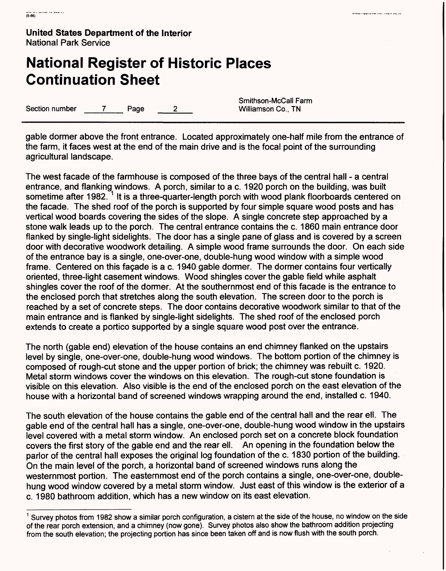# **National Register of Historic Places Continuation Sheet**

Section number 7 Page 2

Smithson-McCall Farm<br>Williamson Co., TN

gable dormer above the front entrance. Located approximately one-half mile from the entrance of the farm, it faces west at the end of the main drive and is the focal point of the surrounding agricultural landscape.

The west facade of the farmhouse is composed of the three bays of the central hall - a central entrance, and flanking windows. A porch, similar to a c. 1920 porch on the building, was built sometime after 1982.<sup>1</sup> It is a three-quarter-length porch with wood plank floorboards centered on the facade. The shed roof of the porch is supported by four simple square wood posts and has vertical wood boards covering the sides of the slope. A single concrete step approached by a stone walk leads up to the porch. The central entrance contains the c. 1860 main entrance door flanked by single-light sidelights. The door has a single pane of glass and is covered by a screen door with decorative woodwork detailing. A simple wood frame surrounds the door. On each side of the entrance bay is a single, one-over-one, double-hung wood window with a simple wood frame. Centered on this façade is a c. 1940 gable dormer. The dormer contains four vertically oriented, three-light casement windows. Wood shingles cover the gable field while asphalt shingles cover the roof of the dormer. At the southernmost end of this facade is the entrance to the enclosed porch that stretches along the south elevation. The screen door to the porch is reached by a set of concrete steps. The door contains decorative woodwork similar to that of the main entrance and is flanked by single-light sidelights. The shed roof of the enclosed porch extends to create a portico supported by a single square wood post over the entrance.

The north (gable end) elevation of the house contains an end chimney flanked on the upstairs level by single, one-over-one, double-hung wood windows. The bottom portion of the chimney is composed of rough-cut stone and the upper portion of brick; the chimney was rebuilt c. 1920. Metal storm windows cover the windows on this elevation. The rough-cut stone foundation is visible on this elevation. Also visible is the end of the enclosed porch on the east elevation of the house with a horizontal band of screened windows wrapping around the end, installed c. 1940.

The south elevation of the house contains the gable end of the central hall and the rear ell. The gable end of the central hall has a single, one-over-one, double-hung wood window in the upstairs level covered with a metal storm window. An enclosed porch set on a concrete block foundation covers the first story of the gable end and the rear ell. An opening in the foundation below the parlor of the central hall exposes the original log foundation of the c. 1830 portion of the building. On the main level of the porch, a horizontal band of screened windows runs along the westernmost portion. The easternmost end of the porch contains a single, one-over-one, doublehung wood window covered by a metal storm window. Just east of this window is the exterior of a c. 1980 bathroom addition, which has a new window on its east elevation.

 $<sup>1</sup>$  Survey photos from 1982 show a similar porch configuration, a cistern at the side of the house, no window on the side</sup> of the rear porch extension, and a chimney (now gone). Survey photos also show the bathroom addition projecting from the south elevation; the projecting portion has since been taken off and is now flush with the south porch.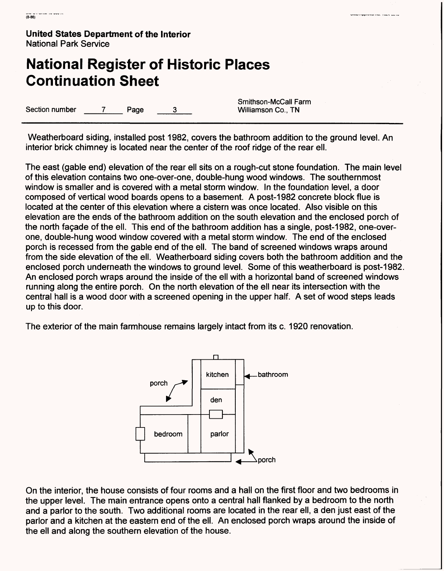## **National Register of Historic Places Continuation Sheet**

Section number 7 Page  $\mathbf{3}$ 

Smithson-McCall Farm Williamson Co., TN

Weatherboard siding, installed post 1982, covers the bathroom addition to the ground level. An interior brick chimney is located near the center of the roof ridge of the rear ell.

The east (gable end) elevation of the rear ell sits on a rough-cut stone foundation. The main level of this elevation contains two one-over-one, double-hung wood windows. The southernmost window is smaller and is covered with a metal storm window. In the foundation level, a door composed of vertical wood boards opens to a basement. A post-1982 concrete block flue is located at the center of this elevation where a cistern was once located. Also visible on this elevation are the ends of the bathroom addition on the south elevation and the enclosed porch of the north facade of the ell. This end of the bathroom addition has a single, post-1982, one-overone, double-hung wood window covered with a metal storm window. The end of the enclosed porch is recessed from the gable end of the ell. The band of screened windows wraps around from the side elevation of the ell. Weatherboard siding covers both the bathroom addition and the enclosed porch underneath the windows to ground level. Some of this weatherboard is post-1982. An enclosed porch wraps around the inside of the ell with a horizontal band of screened windows running along the entire porch. On the north elevation of the ell near its intersection with the central hall is a wood door with a screened opening in the upper half. A set of wood steps leads up to this door.

The exterior of the main farmhouse remains largely intact from its c. 1920 renovation.



On the interior, the house consists of four rooms and a hall on the first floor and two bedrooms in the upper level. The main entrance opens onto a central hall flanked by a bedroom to the north and a parlor to the south. Two additional rooms are located in the rear ell, a den just east of the parlor and a kitchen at the eastern end of the ell. An enclosed porch wraps around the inside of the ell and along the southern elevation of the house.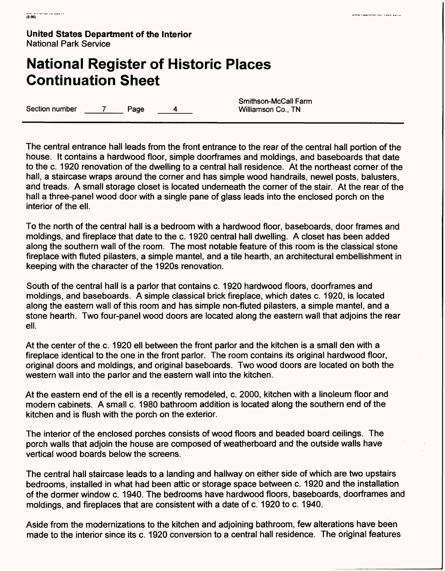## **National Register of Historic Places Continuation Sheet**

Section number 7 Page 4 4 Williamson Co., TN

Smithson-McCall Farm

The central entrance hall leads from the front entrance to the rear of the central hall portion of the house. It contains a hardwood floor, simple doorframes and moldings, and baseboards that date to the c. 1920 renovation of the dwelling to a central hall residence. At the northeast corner of the hall, a staircase wraps around the corner and has simple wood handrails, newel posts, balusters, and treads. A small storage closet is located underneath the corner of the stair. At the rear of the hall a three-panel wood door with a single pane of glass leads into the enclosed porch on the interior of the ell.

To the north of the central hall is a bedroom with a hardwood floor, baseboards, door frames and moldings, and fireplace that date to the c. 1920 central hall dwelling. A closet has been added along the southern wall of the room. The most notable feature of this room is the classical stone fireplace with fluted pilasters, a simple mantel, and a tile hearth, an architectural embellishment in keeping with the character of the 1920s renovation.

South of the central hall is a parlor that contains c. 1920 hardwood floors, doorframes and moldings, and baseboards. A simple classical brick fireplace, which dates c. 1920, is located along the eastern wall of this room and has simple non-fluted pilasters, a simple mantel, and a stone hearth. Two four-panel wood doors are located along the eastern wall that adjoins the rear ell.

At the center of the c. 1920 ell between the front parlor and the kitchen is a small den with a fireplace identical to the one in the front parlor. The room contains its original hardwood floor, original doors and moldings, and original baseboards. Two wood doors are located on both the western wall into the parlor and the eastern wall into the kitchen.

At the eastern end of the ell is a recently remodeled, c. 2000, kitchen with a linoleum floor and modern cabinets. A small c. 1980 bathroom addition is located along the southern end of the kitchen and is flush with the porch on the exterior.

The interior of the enclosed porches consists of wood floors and beaded board ceilings. The porch walls that adjoin the house are composed of weatherboard and the outside walls have vertical wood boards below the screens.

The central hall staircase leads to a landing and hallway on either side of which are two upstairs bedrooms, installed in what had been attic or storage space between c. 1920 and the installation of the dormer window c. 1940. The bedrooms have hardwood floors, baseboards, doorframes and moldings, and fireplaces that are consistent with a date of c. 1920 to c. 1940.

Aside from the modernizations to the kitchen and adjoining bathroom, few alterations have been made to the interior since its c. 1920 conversion to a central hall residence. The original features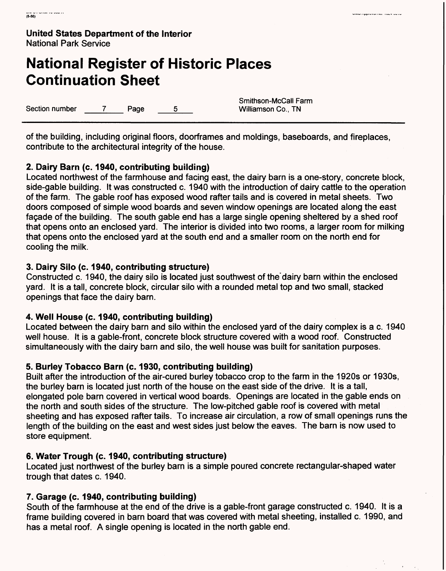# **National Register of Historic Places Continuation Sheet**

Section number  $\begin{array}{ccc} 7 & \text{Page} & 5 & \text{Williamson Co., TN} \end{array}$ 

Smithson-McCall Farm

.<br>The complete contract the contract of the contract of the contract of the contract of the contract of the cont

of the building, including original floors, doorframes and moldings, baseboards, and fireplaces, contribute to the architectural integrity of the house.

## **2. Dairy Barn (c. 1940, contributing building)**

Located northwest of the farmhouse and facing east, the dairy barn is a one-story, concrete block, side-gable building. It was constructed c. 1940 with the introduction of dairy cattle to the operation of the farm. The gable roof has exposed wood rafter tails and is covered in metal sheets. Two doors composed of simple wood boards and seven window openings are located along the east facade of the building. The south gable end has a large single opening sheltered by a shed roof that opens onto an enclosed yard. The interior is divided into two rooms, a larger room for milking that opens onto the enclosed yard at the south end and a smaller room on the north end for cooling the milk.

## **3. Dairy Silo (c. 1940, contributing structure)**

Constructed c. 1940, the dairy silo is located just southwest of the'dairy barn within the enclosed yard. It is a tall, concrete block, circular silo with a rounded metal top and two small, stacked openings that face the dairy barn.

### **4. Well House (c. 1940, contributing building)**

Located between the dairy barn and silo within the enclosed yard of the dairy complex is a c. 1940 well house. It is a gable-front, concrete block structure covered with a wood roof. Constructed simultaneously with the dairy barn and silo, the well house was built for sanitation purposes.

## **5. Burley Tobacco Barn (c. 1930, contributing building)**

Built after the introduction of the air-cured burley tobacco crop to the farm in the 1920s or 1930s, the burley barn is located just north of the house on the east side of the drive. It is a tall, elongated pole barn covered in vertical wood boards. Openings are located in the gable ends on the north and south sides of the structure. The low-pitched gable roof is covered with metal sheeting and has exposed rafter tails. To increase air circulation, a row of small openings runs the length of the building on the east and west sides just below the eaves. The barn is now used to store equipment.

### **6. Water Trough (c. 1940, contributing structure)**

Located just northwest of the burley barn is a simple poured concrete rectangular-shaped water trough that dates c. 1940.

## **7. Garage (c. 1940, contributing building)**

South of the farmhouse at the end of the drive is a gable-front garage constructed c. 1940. It is a frame building covered in barn board that was covered with metal sheeting, installed c. 1990, and has a metal roof. A single opening is located in the north gable end.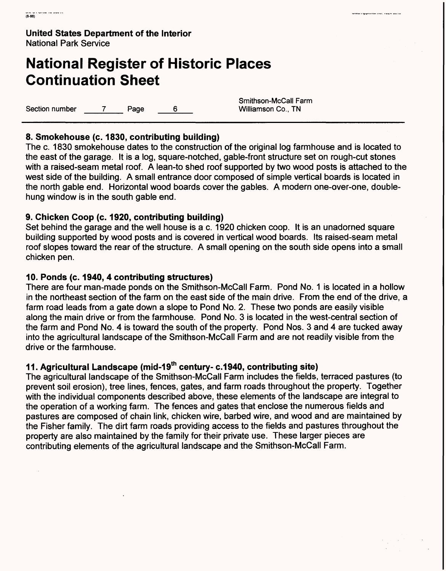# **National Register of Historic Places Continuation Sheet**

Section number 7 Page 6 6 Williamson Co., TN

Smithson-McCall Farm

## **8. Smokehouse (c. 1830, contributing building)**

The c. 1830 smokehouse dates to the construction of the original log farmhouse and is located to the east of the garage. It is a log, square-notched, gable-front structure set on rough-cut stones with a raised-seam metal roof. A lean-to shed roof supported by two wood posts is attached to the west side of the building. A small entrance door composed of simple vertical boards is located in the north gable end. Horizontal wood boards cover the gables. A modern one-over-one, doublehung window is in the south gable end.

### **9. Chicken Coop (c. 1920, contributing building)**

Set behind the garage and the well house is a c. 1920 chicken coop. It is an unadorned square building supported by wood posts and is covered in vertical wood boards. Its raised-seam metal roof slopes toward the rear of the structure. A small opening on the south side opens into a small chicken pen.

### **10. Ponds (c. 1940, 4 contributing structures)**

There are four man-made ponds on the Smithson-McCall Farm. Pond No. 1 is located in a hollow in the northeast section of the farm on the east side of the main drive. From the end of the drive, a farm road leads from a gate down a slope to Pond No. 2. These two ponds are easily visible along the main drive or from the farmhouse. Pond No. 3 is located in the west-central section of the farm and Pond No. 4 is toward the south of the property. Pond Nos. 3 and 4 are tucked away into the agricultural landscape of the Smithson-McCall Farm and are not readily visible from the drive or the farmhouse.

## **11. Agricultural Landscape (mid-19th century- c.1940, contributing site)**

The agricultural landscape of the Smithson-McCall Farm includes the fields, terraced pastures (to prevent soil erosion), tree lines, fences, gates, and farm roads throughout the property. Together with the individual components described above, these elements of the landscape are integral to the operation of a working farm. The fences and gates that enclose the numerous fields and pastures are composed of chain link, chicken wire, barbed wire, and wood and are maintained by the Fisher family. The dirt farm roads providing access to the fields and pastures throughout the property are also maintained by the family for their private use. These larger pieces are contributing elements of the agricultural landscape and the Smithson-McCall Farm.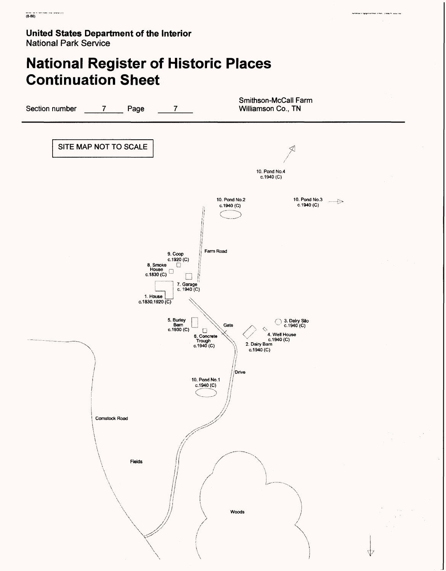# **National Register of Historic Places Continuation Sheet**

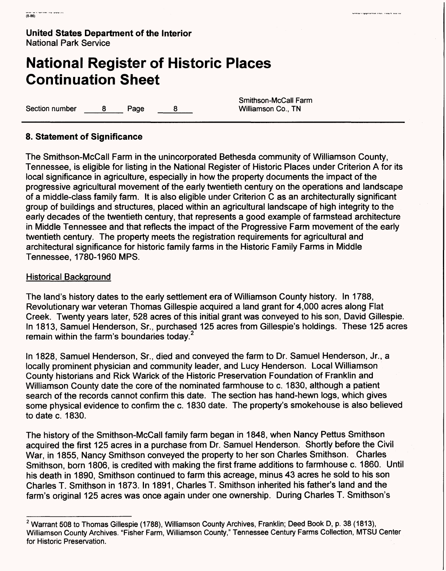## **National Register of Historic Places Continuation Sheet**

Section number 8 Page 8

Smithson-McCall Farm<br>Williamson Co., TN

### **8. Statement of Significance**

The Smithson-McCall Farm in the unincorporated Bethesda community of Williamson County, Tennessee, is eligible for listing in the National Register of Historic Places under Criterion A for its local significance in agriculture, especially in how the property documents the impact of the progressive agricultural movement of the early twentieth century on the operations and landscape of a middle-class family farm. It is also eligible under Criterion C as an architecturally significant group of buildings and structures, placed within an agricultural landscape of high integrity to the early decades of the twentieth century, that represents a good example of farmstead architecture in Middle Tennessee and that reflects the impact of the Progressive Farm movement of the early twentieth century. The property meets the registration requirements for agricultural and architectural significance for historic family farms in the Historic Family Farms in Middle Tennessee, 1780-1960 MPS.

#### Historical Background

The land's history dates to the early settlement era of Williamson County history. In 1788, Revolutionary war veteran Thomas Gillespie acquired a land grant for 4,000 acres along Flat Creek. Twenty years later, 528 acres of this initial grant was conveyed to his son, David Gillespie. In 1813, Samuel Henderson, Sr., purchased 125 acres from Gillespie's holdings. These 125 acres remain within the farm's boundaries today.<sup>2</sup>

In 1828, Samuel Henderson, Sr., died and conveyed the farm to Dr. Samuel Henderson, Jr., a locally prominent physician and community leader, and Lucy Henderson. Local Williamson County historians and Rick Warick of the Historic Preservation Foundation of Franklin and Williamson County date the core of the nominated farmhouse to c. 1830, although a patient search of the records cannot confirm this date. The section has hand-hewn logs, which gives some physical evidence to confirm the c. 1830 date. The property's smokehouse is also believed to date c. 1830.

The history of the Smithson-McCall family farm began in 1848, when Nancy Pettus Smithson acquired the first 125 acres in a purchase from Dr. Samuel Henderson. Shortly before the Civil War, in 1855, Nancy Smithson conveyed the property to her son Charles Smithson. Charles Smithson, born 1806, is credited with making the first frame additions to farmhouse c. 1860. Until his death in 1890, Smithson continued to farm this acreage, minus 43 acres he sold to his son Charles T. Smithson in 1873. In 1891, Charles T. Smithson inherited his father's land and the farm's original 125 acres was once again under one ownership. During Charles T. Smithson's

<sup>&</sup>lt;sup>2</sup> Warrant 508 to Thomas Gillespie (1788), Williamson County Archives, Franklin; Deed Book D, p. 38 (1813), Williamson County Archives. "Fisher Farm, Williamson County," Tennessee Century Farms Collection, MTSU Center for Historic Preservation.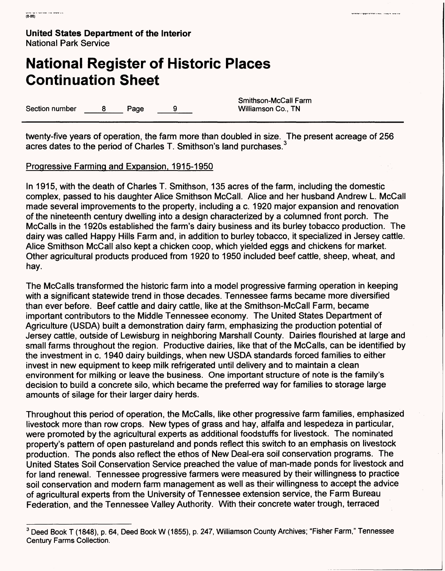# **National Register of Historic Places Continuation Sheet**

Section number  $\begin{array}{ccc} 8 & \text{Paqe} & \text{9} & \text{Williamson Co.} \end{array}$  TN

Smithson-McCall Farm

twenty-five years of operation, the farm more than doubled in size. The present acreage of 256 acres dates to the period of Charles T. Smithson's land purchases. <sup>3</sup>

### Progressive Farming and Expansion. 1915-1950

In 1915, with the death of Charles T. Smithson, 135 acres of the farm, including the domestic complex, passed to his daughter Alice Smithson McCall. Alice and her husband Andrew L. McCall made several improvements to the property, including a c. 1920 major expansion and renovation of the nineteenth century dwelling into a design characterized by a columned front porch. The McCalls in the 1920s established the farm's dairy business and its burley tobacco production. The dairy was called Happy Hills Farm and, in addition to burley tobacco, it specialized in Jersey cattle. Alice Smithson McCall also kept a chicken coop, which yielded eggs and chickens for market. Other agricultural products produced from 1920 to 1950 included beef cattle, sheep, wheat, and hay.

The McCalls transformed the historic farm into a model progressive farming operation in keeping with a significant statewide trend in those decades. Tennessee farms became more diversified than ever before. Beef cattle and dairy cattle, like at the Smithson-McCall Farm, became important contributors to the Middle Tennessee economy. The United States Department of Agriculture (USDA) built a demonstration dairy farm, emphasizing the production potential of Jersey cattle, outside of Lewisburg in neighboring Marshall County. Dairies flourished at large and small farms throughout the region. Productive dairies, like that of the McCalls, can be identified by the investment in c. 1940 dairy buildings, when new USDA standards forced families to either invest in new equipment to keep milk refrigerated until delivery and to maintain a clean environment for milking or leave the business. One important structure of note is the family's decision to build a concrete silo, which became the preferred way for families to storage large amounts of silage for their larger dairy herds.

Throughout this period of operation, the McCalls, like other progressive farm families, emphasized livestock more than row crops. New types of grass and hay, alfalfa and lespedeza in particular, were promoted by the agricultural experts as additional foodstuffs for livestock. The nominated property's pattern of open pastureland and ponds reflect this switch to an emphasis on livestock production. The ponds also reflect the ethos of New Deal-era soil conservation programs. The United States Soil Conservation Service preached the value of man-made ponds for livestock and for land renewal. Tennessee progressive farmers were measured by their willingness to practice soil conservation and modern farm management as well as their willingness to accept the advice of agricultural experts from the University of Tennessee extension service, the Farm Bureau Federation, and the Tennessee Valley Authority. With their concrete water trough, terraced

<sup>&</sup>lt;sup>3</sup> Deed Book T (1848), p. 64, Deed Book W (1855), p. 247, Williamson County Archives; "Fisher Farm," Tennessee Century Farms Collection.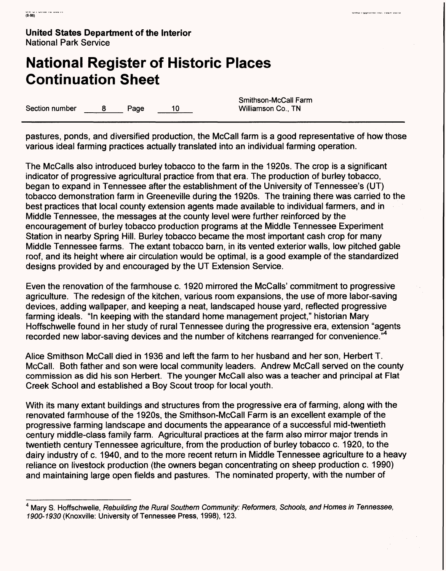# **National Register of Historic Places Continuation Sheet**

Section number  $\begin{array}{ccc} 8 & \text{Paqe} & \text{10} & \text{Williamson Co.} \end{array}$ 

Smithson-McCall Farm

pastures, ponds, and diversified production, the McCall farm is a good representative of how those various ideal farming practices actually translated into an individual farming operation.

The McCalls also introduced burley tobacco to the farm in the 1920s. The crop is a significant indicator of progressive agricultural practice from that era. The production of burley tobacco, began to expand in Tennessee after the establishment of the University of Tennessee's (UT) tobacco demonstration farm in Greeneville during the 1920s. The training there was carried to the best practices that local county extension agents made available to individual farmers, and in Middle Tennessee, the messages at the county level were further reinforced by the encouragement of burley tobacco production programs at the Middle Tennessee Experiment Station in nearby Spring Hill. Burley tobacco became the most important cash crop for many Middle Tennessee farms. The extant tobacco barn, in its vented exterior walls, low pitched gable roof, and its height where air circulation would be optimal, is a good example of the standardized designs provided by and encouraged by the UT Extension Service.

Even the renovation of the farmhouse c. 1920 mirrored the McCalls' commitment to progressive agriculture. The redesign of the kitchen, various room expansions, the use of more labor-saving devices, adding wallpaper, and keeping a neat, landscaped house yard, reflected progressive farming ideals. "In keeping with the standard home management project," historian Mary Hoffschwelle found in her study of rural Tennessee during the progressive era, extension "agents recorded new labor-saving devices and the number of kitchens rearranged for convenience."

Alice Smithson McCall died in 1936 and left the farm to her husband and her son, Herbert T. McCall. Both father and son were local community leaders. Andrew McCall served on the county commission as did his son Herbert. The younger McCall also was a teacher and principal at Flat Creek School and established a Boy Scout troop for local youth.

With its many extant buildings and structures from the progressive era of farming, along with the renovated farmhouse of the 1920s, the Smithson-McCall Farm is an excellent example of the progressive farming landscape and documents the appearance of a successful mid-twentieth century middle-class family farm. Agricultural practices at the farm also mirror major trends in twentieth century Tennessee agriculture, from the production of burley tobacco c. 1920, to the dairy industry of c. 1940, and to the more recent return in Middle Tennessee agriculture to a heavy reliance on livestock production (the owners began concentrating on sheep production c. 1990) and maintaining large open fields and pastures. The nominated property, with the number of

<sup>&</sup>lt;sup>4</sup> Mary S. Hoffschwelle, Rebuilding the Rural Southern Community: Reformers, Schools, and Homes in Tennessee, 1900-1930 (Knoxville: University of Tennessee Press, 1998), 123.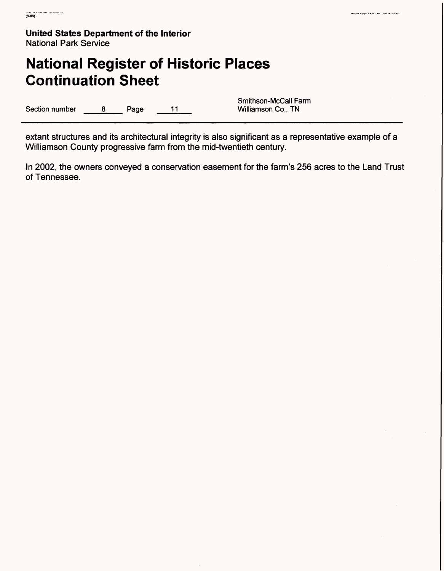## **National Register of Historic Places Continuation Sheet**

Section number 8 Page 11

Smithson-McCall Farm<br>Williamson Co., TN

extant structures and its architectural integrity is also significant as a representative example of a Williamson County progressive farm from the mid-twentieth century.

In 2002, the owners conveyed a conservation easement for the farm's 256 acres to the Land Trust of Tennessee.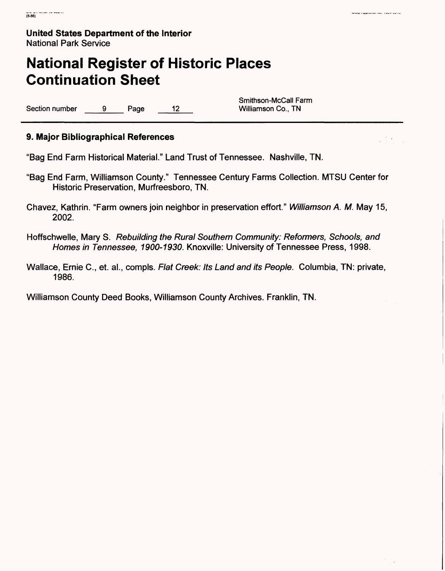## **National Register of Historic Places Continuation Sheet**

Section number 9 Page 12 Williamson Co., TN

Smithson-McCall Farm

### **9. Major Bibliographical References**

"Bag End Farm Historical Material." Land Trust of Tennessee. Nashville, TN.

- "Bag End Farm, Williamson County." Tennessee Century Farms Collection. MTSU Center for Historic Preservation, Murfreesboro, TN.
- Chavez, Kathrin. "Farm owners join neighbor in preservation effort." Williamson A. M. May 15, 2002.
- Hoffschwelle, Mary S. Rebuilding the Rural Southern Community: Reformers, Schools, and Homes in Tennessee, 1900-1930. Knoxville: University of Tennessee Press, 1998.
- Wallace, Ernie C., et. al., compls. Flat Creek: Its Land and its People. Columbia, TN: private, 1986.

Williamson County Deed Books, Williamson County Archives. Franklin, TN.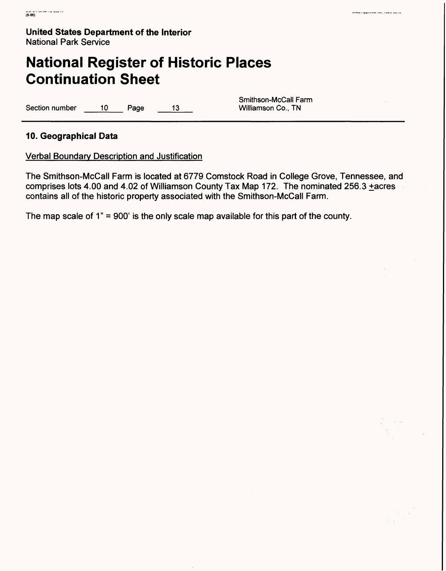## **National Register of Historic Places Continuation Sheet**

Section number 10 Page 13 Williamson Co., TN

Smithson-McCall Farm

### **10. Geographical Data**

Verbal Boundary Description and Justification

The Smithson-McCall Farm is located at 6779 Comstock Road in College Grove, Tennessee, and comprises lots 4.00 and 4.02 of Williamson County Tax Map 172. The nominated 256.3 +acres contains all of the historic property associated with the Smithson-McCall Farm.

The map scale of  $1" = 900'$  is the only scale map available for this part of the county.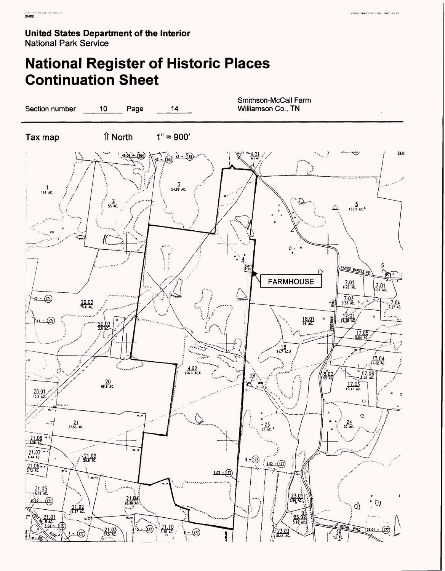# **National Register of Historic Places Continuation Sheet**



.<br>Stephand Hollow Your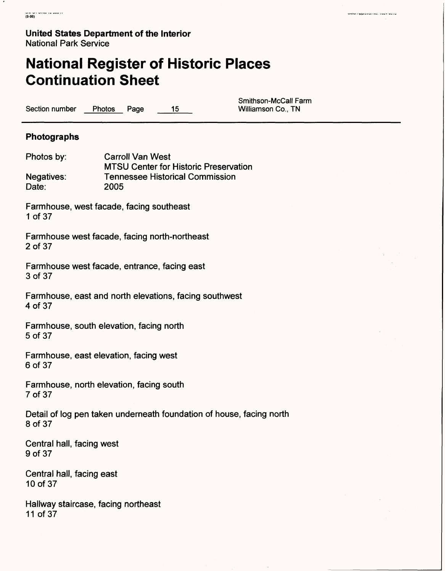## **National Register of Historic Places Continuation Sheet**

Section number Photos Page 15 Williamson Co., TN

Smithson-McCall Farm

### **Photographs**

Photos by: Carroll Van West MTSU Center for Historic Preservation Negatives: Tennessee Historical Commission Date: 2005

Farmhouse, west facade, facing southeast 1 of 37

Farmhouse west facade, facing north-northeast 2 of 37

Farmhouse west facade, entrance, facing east 3 of 37

Farmhouse, east and north elevations, facing southwest 4 of 37

Farmhouse, south elevation, facing north 5 of 37

Farmhouse, east elevation, facing west 6 of 37

Farmhouse, north elevation, facing south 7 of 37

Detail of log pen taken underneath foundation of house, facing north 8 of 37

Central hall, facing west 9 of 37

Central hall, facing east 10 of 37

Hallway staircase, facing northeast 11 of 37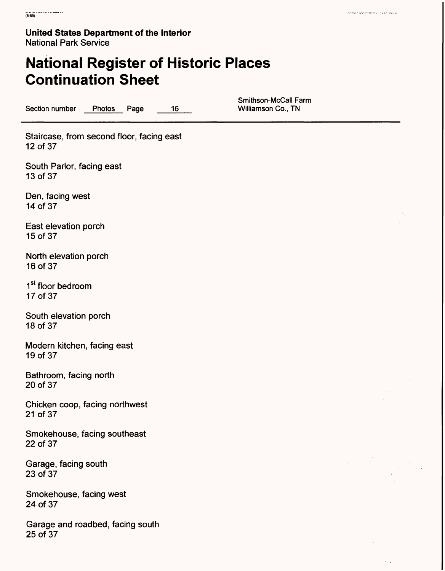# **National Register of Historic Places Continuation Sheet**

Section number Photos Page 16

Smithson-McCall Farm<br>Williamson Co., TN

Staircase, from second floor, facing east 12 of 37

South Parlor, facing east 13 of 37

Den, facing west 14 of 37

East elevation porch 15 of 37

North elevation porch 16 of 37

1<sup>st</sup> floor bedroom 17 of 37

South elevation porch 18 of 37

Modern kitchen, facing east 19 of 37

Bathroom, facing north 20 of 37

Chicken coop, facing northwest 21 of 37

Smokehouse, facing southeast 22 of 37

Garage, facing south 23 of 37

Smokehouse, facing west 24 of 37

Garage and roadbed, facing south 25 of 37

.<br>Alian dia kaominina mpikambana kaominina mpikambana amin'ny fivondronan-kaominin'i Amerika ary ara-daharan'i A